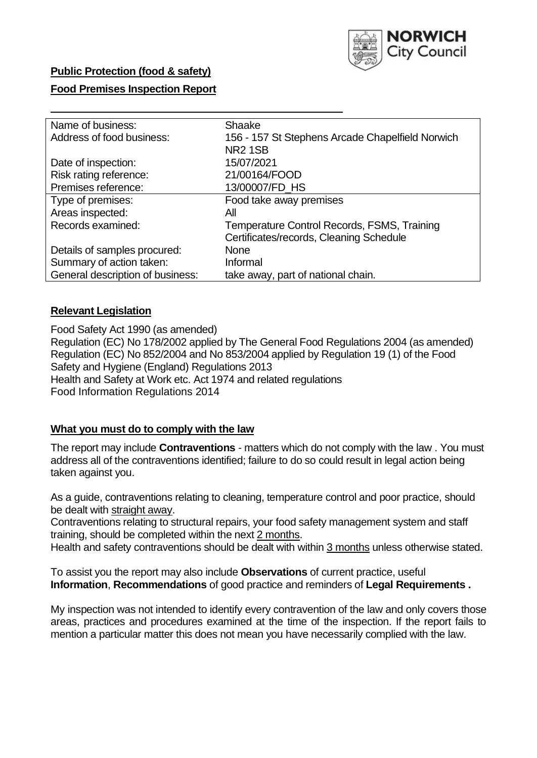

#### **Public Protection (food & safety)**

#### **Food Premises Inspection Report**

| Name of business:                | Shaake                                           |
|----------------------------------|--------------------------------------------------|
| Address of food business:        | 156 - 157 St Stephens Arcade Chapelfield Norwich |
|                                  | <b>NR2 1SB</b>                                   |
| Date of inspection:              | 15/07/2021                                       |
| Risk rating reference:           | 21/00164/FOOD                                    |
| Premises reference:              | 13/00007/FD_HS                                   |
| Type of premises:                | Food take away premises                          |
| Areas inspected:                 | All                                              |
| Records examined:                | Temperature Control Records, FSMS, Training      |
|                                  | Certificates/records, Cleaning Schedule          |
| Details of samples procured:     | <b>None</b>                                      |
| Summary of action taken:         | Informal                                         |
| General description of business: | take away, part of national chain.               |
|                                  |                                                  |

#### **Relevant Legislation**

 Food Safety Act 1990 (as amended) Regulation (EC) No 178/2002 applied by The General Food Regulations 2004 (as amended) Regulation (EC) No 852/2004 and No 853/2004 applied by Regulation 19 (1) of the Food Safety and Hygiene (England) Regulations 2013 Health and Safety at Work etc. Act 1974 and related regulations Food Information Regulations 2014

#### **What you must do to comply with the law**

 The report may include **Contraventions** - matters which do not comply with the law . You must address all of the contraventions identified; failure to do so could result in legal action being taken against you.

 As a guide, contraventions relating to cleaning, temperature control and poor practice, should be dealt with straight away.

 Contraventions relating to structural repairs, your food safety management system and staff training, should be completed within the next 2 months.

Health and safety contraventions should be dealt with within 3 months unless otherwise stated.

 To assist you the report may also include **Observations** of current practice, useful **Information**, **Recommendations** of good practice and reminders of **Legal Requirements .** 

 My inspection was not intended to identify every contravention of the law and only covers those areas, practices and procedures examined at the time of the inspection. If the report fails to mention a particular matter this does not mean you have necessarily complied with the law.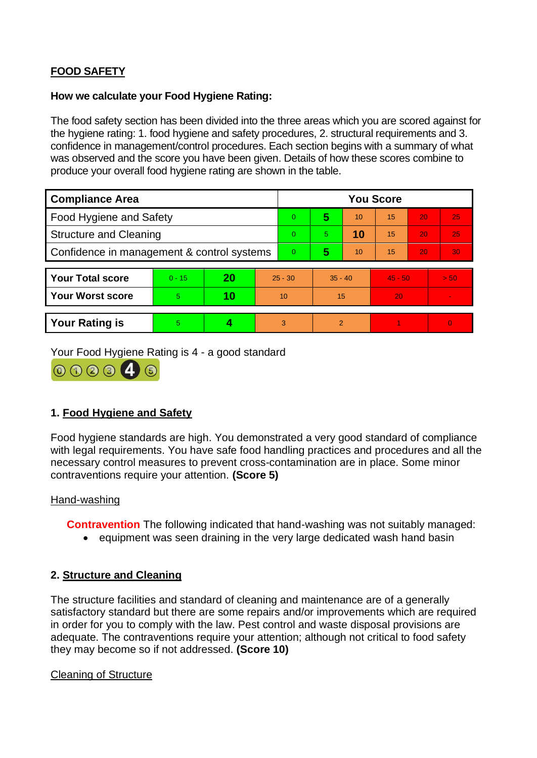# **FOOD SAFETY**

### **How we calculate your Food Hygiene Rating:**

 The food safety section has been divided into the three areas which you are scored against for the hygiene rating: 1. food hygiene and safety procedures, 2. structural requirements and 3. confidence in management/control procedures. Each section begins with a summary of what was observed and the score you have been given. Details of how these scores combine to produce your overall food hygiene rating are shown in the table.

| <b>Compliance Area</b>                     |          |    |           | <b>You Score</b> |                |    |           |    |          |  |  |
|--------------------------------------------|----------|----|-----------|------------------|----------------|----|-----------|----|----------|--|--|
| Food Hygiene and Safety                    |          |    |           | $\Omega$         | 5              | 10 | 15        | 20 | 25       |  |  |
| <b>Structure and Cleaning</b>              |          |    | $\Omega$  | 5.               | 10             | 15 | 20        | 25 |          |  |  |
| Confidence in management & control systems |          |    | $\Omega$  | 5                | 10             | 15 | 20        | 30 |          |  |  |
|                                            |          |    |           |                  |                |    |           |    |          |  |  |
| <b>Your Total score</b>                    | $0 - 15$ | 20 | $25 - 30$ |                  | $35 - 40$      |    | $45 - 50$ |    | > 50     |  |  |
| <b>Your Worst score</b>                    | 5.       | 10 | 10        |                  | 15             |    | 20        |    |          |  |  |
|                                            |          |    |           |                  |                |    |           |    |          |  |  |
| <b>Your Rating is</b>                      | 5        |    |           | 3                | $\overline{2}$ |    |           |    | $\Omega$ |  |  |

Your Food Hygiene Rating is 4 - a good standard



# **1. Food Hygiene and Safety**

 with legal requirements. You have safe food handling practices and procedures and all the Food hygiene standards are high. You demonstrated a very good standard of compliance necessary control measures to prevent cross-contamination are in place. Some minor contraventions require your attention. **(Score 5)** 

#### Hand-washing

**Contravention** The following indicated that hand-washing was not suitably managed:

• equipment was seen draining in the very large dedicated wash hand basin

## **2. Structure and Cleaning**

 satisfactory standard but there are some repairs and/or improvements which are required The structure facilities and standard of cleaning and maintenance are of a generally in order for you to comply with the law. Pest control and waste disposal provisions are adequate. The contraventions require your attention; although not critical to food safety they may become so if not addressed. **(Score 10)** 

#### Cleaning of Structure